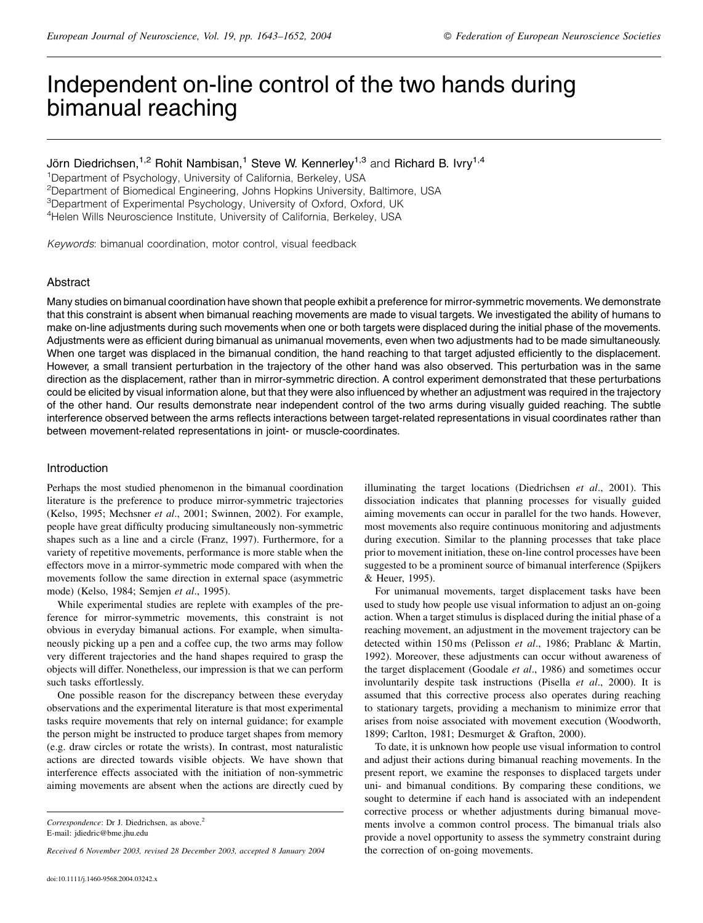# Independent on-line control of the two hands during bimanual reaching

Jörn Diedrichsen,<sup>1,2</sup> Rohit Nambisan,<sup>1</sup> Steve W. Kennerley<sup>1,3</sup> and Richard B. Ivry<sup>1,4</sup>

<sup>1</sup>Department of Psychology, University of California, Berkeley, USA

<sup>2</sup>Department of Biomedical Engineering, Johns Hopkins University, Baltimore, USA

<sup>3</sup>Department of Experimental Psychology, University of Oxford, Oxford, UK

<sup>4</sup>Helen Wills Neuroscience Institute, University of California, Berkeley, USA

Keywords: bimanual coordination, motor control, visual feedback

# Abstract

Many studies on bimanual coordination have shown that people exhibit a preference for mirror-symmetric movements. We demonstrate that this constraint is absent when bimanual reaching movements are made to visual targets. We investigated the ability of humans to make on-line adjustments during such movements when one or both targets were displaced during the initial phase of the movements. Adjustments were as efficient during bimanual as unimanual movements, even when two adjustments had to be made simultaneously. When one target was displaced in the bimanual condition, the hand reaching to that target adjusted efficiently to the displacement. However, a small transient perturbation in the trajectory of the other hand was also observed. This perturbation was in the same direction as the displacement, rather than in mirror-symmetric direction. A control experiment demonstrated that these perturbations could be elicited by visual information alone, but that they were also influenced by whether an adjustment was required in the trajectory of the other hand. Our results demonstrate near independent control of the two arms during visually guided reaching. The subtle interference observed between the arms reflects interactions between target-related representations in visual coordinates rather than between movement-related representations in joint- or muscle-coordinates.

# Introduction

Perhaps the most studied phenomenon in the bimanual coordination literature is the preference to produce mirror-symmetric trajectories (Kelso, 1995; Mechsner et al., 2001; Swinnen, 2002). For example, people have great difficulty producing simultaneously non-symmetric shapes such as a line and a circle (Franz, 1997). Furthermore, for a variety of repetitive movements, performance is more stable when the effectors move in a mirror-symmetric mode compared with when the movements follow the same direction in external space (asymmetric mode) (Kelso, 1984; Semjen et al., 1995).

While experimental studies are replete with examples of the preference for mirror-symmetric movements, this constraint is not obvious in everyday bimanual actions. For example, when simultaneously picking up a pen and a coffee cup, the two arms may follow very different trajectories and the hand shapes required to grasp the objects will differ. Nonetheless, our impression is that we can perform such tasks effortlessly.

One possible reason for the discrepancy between these everyday observations and the experimental literature is that most experimental tasks require movements that rely on internal guidance; for example the person might be instructed to produce target shapes from memory (e.g. draw circles or rotate the wrists). In contrast, most naturalistic actions are directed towards visible objects. We have shown that interference effects associated with the initiation of non-symmetric aiming movements are absent when the actions are directly cued by

Received 6 November 2003, revised 28 December 2003, accepted 8 January 2004

illuminating the target locations (Diedrichsen et al., 2001). This dissociation indicates that planning processes for visually guided aiming movements can occur in parallel for the two hands. However, most movements also require continuous monitoring and adjustments during execution. Similar to the planning processes that take place prior to movement initiation, these on-line control processes have been suggested to be a prominent source of bimanual interference (Spijkers & Heuer, 1995).

For unimanual movements, target displacement tasks have been used to study how people use visual information to adjust an on-going action. When a target stimulus is displaced during the initial phase of a reaching movement, an adjustment in the movement trajectory can be detected within 150 ms (Pelisson et al., 1986; Prablanc & Martin, 1992). Moreover, these adjustments can occur without awareness of the target displacement (Goodale et al., 1986) and sometimes occur involuntarily despite task instructions (Pisella et al., 2000). It is assumed that this corrective process also operates during reaching to stationary targets, providing a mechanism to minimize error that arises from noise associated with movement execution (Woodworth, 1899; Carlton, 1981; Desmurget & Grafton, 2000).

To date, it is unknown how people use visual information to control and adjust their actions during bimanual reaching movements. In the present report, we examine the responses to displaced targets under uni- and bimanual conditions. By comparing these conditions, we sought to determine if each hand is associated with an independent corrective process or whether adjustments during bimanual movements involve a common control process. The bimanual trials also provide a novel opportunity to assess the symmetry constraint during the correction of on-going movements.

Correspondence: Dr J. Diedrichsen, as above.<sup>2</sup> E-mail: jdiedric@bme.jhu.edu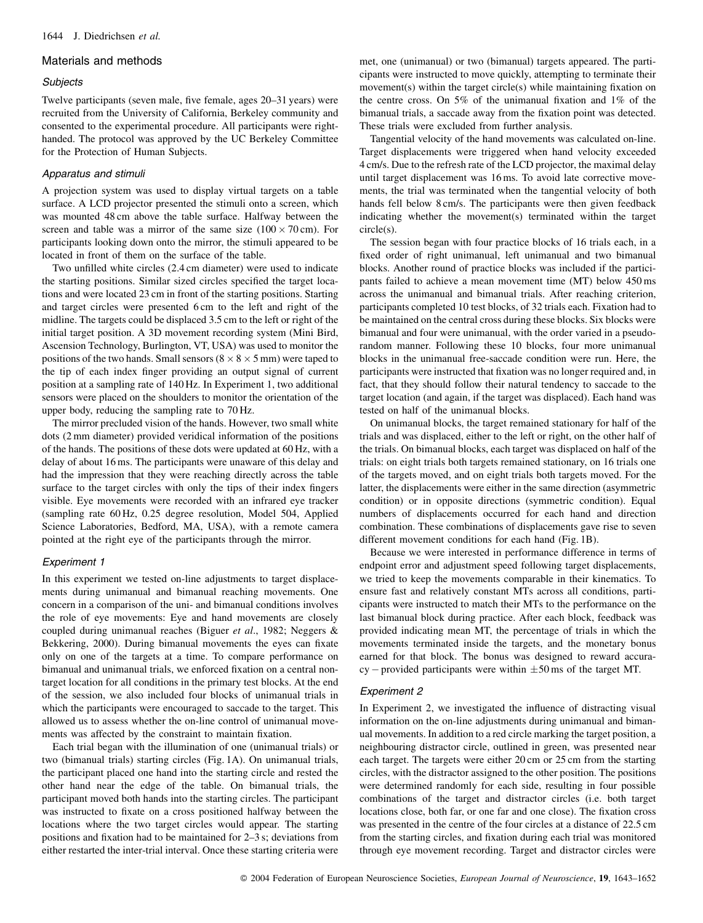# Materials and methods

## Subjects

Twelve participants (seven male, five female, ages 20-31 years) were recruited from the University of California, Berkeley community and consented to the experimental procedure. All participants were righthanded. The protocol was approved by the UC Berkeley Committee for the Protection of Human Subjects.

# Apparatus and stimuli

A projection system was used to display virtual targets on a table surface. A LCD projector presented the stimuli onto a screen, which was mounted 48 cm above the table surface. Halfway between the screen and table was a mirror of the same size  $(100 \times 70 \text{ cm})$ . For participants looking down onto the mirror, the stimuli appeared to be located in front of them on the surface of the table.

Two unfilled white circles (2.4 cm diameter) were used to indicate the starting positions. Similar sized circles specified the target locations and were located 23 cm in front of the starting positions. Starting and target circles were presented 6 cm to the left and right of the midline. The targets could be displaced 3.5 cm to the left or right of the initial target position. A 3D movement recording system (Mini Bird, Ascension Technology, Burlington, VT, USA) was used to monitor the positions of the two hands. Small sensors ( $8 \times 8 \times 5$  mm) were taped to the tip of each index finger providing an output signal of current position at a sampling rate of 140 Hz. In Experiment 1, two additional sensors were placed on the shoulders to monitor the orientation of the upper body, reducing the sampling rate to 70 Hz.

The mirror precluded vision of the hands. However, two small white dots (2 mm diameter) provided veridical information of the positions of the hands. The positions of these dots were updated at 60 Hz, with a delay of about 16 ms. The participants were unaware of this delay and had the impression that they were reaching directly across the table surface to the target circles with only the tips of their index fingers visible. Eye movements were recorded with an infrared eye tracker (sampling rate 60 Hz, 0.25 degree resolution, Model 504, Applied Science Laboratories, Bedford, MA, USA), with a remote camera pointed at the right eye of the participants through the mirror.

# Experiment 1

In this experiment we tested on-line adjustments to target displacements during unimanual and bimanual reaching movements. One concern in a comparison of the uni- and bimanual conditions involves the role of eye movements: Eye and hand movements are closely coupled during unimanual reaches (Biguer et al., 1982; Neggers & Bekkering, 2000). During bimanual movements the eyes can fixate only on one of the targets at a time. To compare performance on bimanual and unimanual trials, we enforced fixation on a central nontarget location for all conditions in the primary test blocks. At the end of the session, we also included four blocks of unimanual trials in which the participants were encouraged to saccade to the target. This allowed us to assess whether the on-line control of unimanual movements was affected by the constraint to maintain fixation.

Each trial began with the illumination of one (unimanual trials) or two (bimanual trials) starting circles (Fig. 1A). On unimanual trials, the participant placed one hand into the starting circle and rested the other hand near the edge of the table. On bimanual trials, the participant moved both hands into the starting circles. The participant was instructed to fixate on a cross positioned halfway between the locations where the two target circles would appear. The starting positions and fixation had to be maintained for 2–3 s; deviations from either restarted the inter-trial interval. Once these starting criteria were

met, one (unimanual) or two (bimanual) targets appeared. The participants were instructed to move quickly, attempting to terminate their movement(s) within the target circle(s) while maintaining fixation on the centre cross. On 5% of the unimanual fixation and 1% of the bimanual trials, a saccade away from the fixation point was detected. These trials were excluded from further analysis.

Tangential velocity of the hand movements was calculated on-line. Target displacements were triggered when hand velocity exceeded 4 cm/s. Due to the refresh rate of the LCD projector, the maximal delay until target displacement was 16 ms. To avoid late corrective movements, the trial was terminated when the tangential velocity of both hands fell below 8 cm/s. The participants were then given feedback indicating whether the movement(s) terminated within the target  $circle(s)$ .

The session began with four practice blocks of 16 trials each, in a fixed order of right unimanual, left unimanual and two bimanual blocks. Another round of practice blocks was included if the participants failed to achieve a mean movement time (MT) below 450 ms across the unimanual and bimanual trials. After reaching criterion, participants completed 10 test blocks, of 32 trials each. Fixation had to be maintained on the central cross during these blocks. Six blocks were bimanual and four were unimanual, with the order varied in a pseudorandom manner. Following these 10 blocks, four more unimanual blocks in the unimanual free-saccade condition were run. Here, the participants were instructed that fixation was no longer required and, in fact, that they should follow their natural tendency to saccade to the target location (and again, if the target was displaced). Each hand was tested on half of the unimanual blocks.

On unimanual blocks, the target remained stationary for half of the trials and was displaced, either to the left or right, on the other half of the trials. On bimanual blocks, each target was displaced on half of the trials: on eight trials both targets remained stationary, on 16 trials one of the targets moved, and on eight trials both targets moved. For the latter, the displacements were either in the same direction (asymmetric condition) or in opposite directions (symmetric condition). Equal numbers of displacements occurred for each hand and direction combination. These combinations of displacements gave rise to seven different movement conditions for each hand (Fig. 1B).

Because we were interested in performance difference in terms of endpoint error and adjustment speed following target displacements, we tried to keep the movements comparable in their kinematics. To ensure fast and relatively constant MTs across all conditions, participants were instructed to match their MTs to the performance on the last bimanual block during practice. After each block, feedback was provided indicating mean MT, the percentage of trials in which the movements terminated inside the targets, and the monetary bonus earned for that block. The bonus was designed to reward accuracy – provided participants were within  $\pm 50$  ms of the target MT.

# Experiment 2

In Experiment 2, we investigated the influence of distracting visual information on the on-line adjustments during unimanual and bimanual movements. In addition to a red circle marking the target position, a neighbouring distractor circle, outlined in green, was presented near each target. The targets were either 20 cm or 25 cm from the starting circles, with the distractor assigned to the other position. The positions were determined randomly for each side, resulting in four possible combinations of the target and distractor circles (i.e. both target locations close, both far, or one far and one close). The fixation cross was presented in the centre of the four circles at a distance of 22.5 cm from the starting circles, and fixation during each trial was monitored through eye movement recording. Target and distractor circles were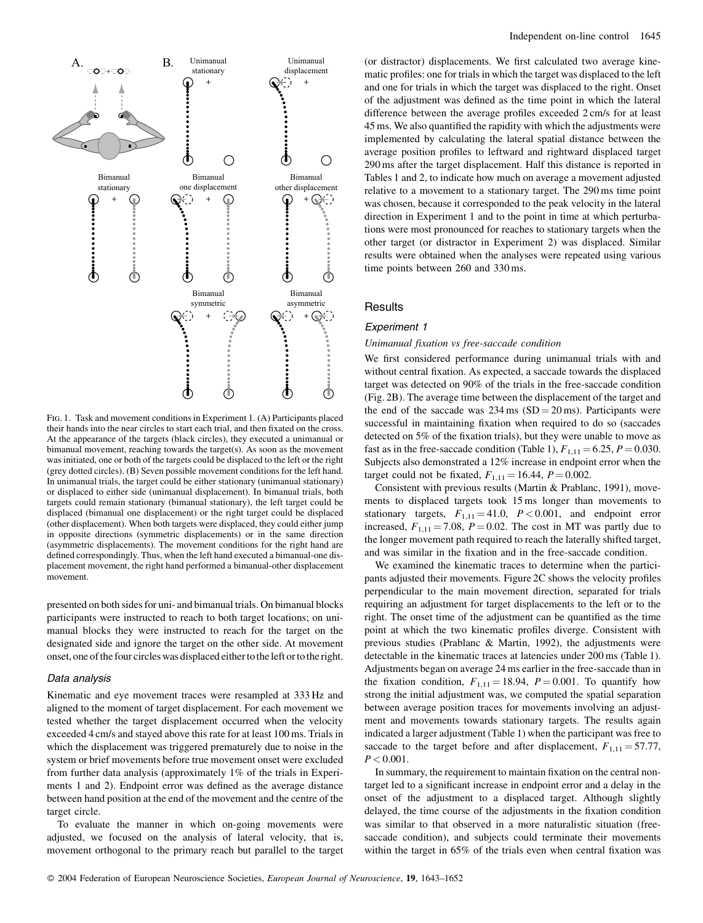

FIG. 1. Task and movement conditions in Experiment 1. (A) Participants placed their hands into the near circles to start each trial, and then fixated on the cross. At the appearance of the targets (black circles), they executed a unimanual or bimanual movement, reaching towards the target(s). As soon as the movement was initiated, one or both of the targets could be displaced to the left or the right (grey dotted circles). (B) Seven possible movement conditions for the left hand. In unimanual trials, the target could be either stationary (unimanual stationary) or displaced to either side (unimanual displacement). In bimanual trials, both targets could remain stationary (bimanual stationary), the left target could be displaced (bimanual one displacement) or the right target could be displaced (other displacement). When both targets were displaced, they could either jump in opposite directions (symmetric displacements) or in the same direction (asymmetric displacements). The movement conditions for the right hand are defined correspondingly. Thus, when the left hand executed a bimanual-one displacement movement, the right hand performed a bimanual-other displacement movement.

presented on both sides for uni- and bimanual trials. On bimanual blocks participants were instructed to reach to both target locations; on unimanual blocks they were instructed to reach for the target on the designated side and ignore the target on the other side. At movement onset, one of the four circles was displaced either to the left or to the right.

## Data analysis

Kinematic and eye movement traces were resampled at 333 Hz and aligned to the moment of target displacement. For each movement we tested whether the target displacement occurred when the velocity exceeded 4 cm/s and stayed above this rate for at least 100 ms. Trials in which the displacement was triggered prematurely due to noise in the system or brief movements before true movement onset were excluded from further data analysis (approximately 1% of the trials in Experiments 1 and 2). Endpoint error was defined as the average distance between hand position at the end of the movement and the centre of the target circle.

To evaluate the manner in which on-going movements were adjusted, we focused on the analysis of lateral velocity, that is, movement orthogonal to the primary reach but parallel to the target (or distractor) displacements. We first calculated two average kinematic profiles: one for trials in which the target was displaced to the left and one for trials in which the target was displaced to the right. Onset of the adjustment was defined as the time point in which the lateral difference between the average profiles exceeded 2 cm/s for at least 45 ms. We also quantified the rapidity with which the adjustments were implemented by calculating the lateral spatial distance between the average position profiles to leftward and rightward displaced target 290 ms after the target displacement. Half this distance is reported in Tables 1 and 2, to indicate how much on average a movement adjusted relative to a movement to a stationary target. The 290 ms time point was chosen, because it corresponded to the peak velocity in the lateral direction in Experiment 1 and to the point in time at which perturbations were most pronounced for reaches to stationary targets when the other target (or distractor in Experiment 2) was displaced. Similar results were obtained when the analyses were repeated using various time points between 260 and 330 ms.

# Results

# Experiment 1

## Unimanual fixation vs free-saccade condition

We first considered performance during unimanual trials with and without central fixation. As expected, a saccade towards the displaced target was detected on 90% of the trials in the free-saccade condition (Fig. 2B). The average time between the displacement of the target and the end of the saccade was  $234 \text{ ms } (SD = 20 \text{ ms})$ . Participants were successful in maintaining fixation when required to do so (saccades detected on 5% of the fixation trials), but they were unable to move as fast as in the free-saccade condition (Table 1),  $F_{1,11} = 6.25$ ,  $P = 0.030$ . Subjects also demonstrated a 12% increase in endpoint error when the target could not be fixated,  $F_{1,11} = 16.44$ ,  $P = 0.002$ .

Consistent with previous results (Martin & Prablanc, 1991), movements to displaced targets took 15 ms longer than movements to stationary targets,  $F_{1,11} = 41.0$ ,  $P < 0.001$ , and endpoint error increased,  $F_{1,11} = 7.08$ ,  $P = 0.02$ . The cost in MT was partly due to the longer movement path required to reach the laterally shifted target, and was similar in the fixation and in the free-saccade condition.

We examined the kinematic traces to determine when the participants adjusted their movements. Figure 2C shows the velocity profiles perpendicular to the main movement direction, separated for trials requiring an adjustment for target displacements to the left or to the right. The onset time of the adjustment can be quantified as the time point at which the two kinematic profiles diverge. Consistent with previous studies (Prablanc & Martin, 1992), the adjustments were detectable in the kinematic traces at latencies under 200 ms (Table 1). Adjustments began on average 24 ms earlier in the free-saccade than in the fixation condition,  $F_{1,11} = 18.94$ ,  $P = 0.001$ . To quantify how strong the initial adjustment was, we computed the spatial separation between average position traces for movements involving an adjustment and movements towards stationary targets. The results again indicated a larger adjustment (Table 1) when the participant was free to saccade to the target before and after displacement,  $F_{1,11} = 57.77$ ,  $P < 0.001$ .

In summary, the requirement to maintain fixation on the central nontarget led to a significant increase in endpoint error and a delay in the onset of the adjustment to a displaced target. Although slightly delayed, the time course of the adjustments in the fixation condition was similar to that observed in a more naturalistic situation (freesaccade condition), and subjects could terminate their movements within the target in 65% of the trials even when central fixation was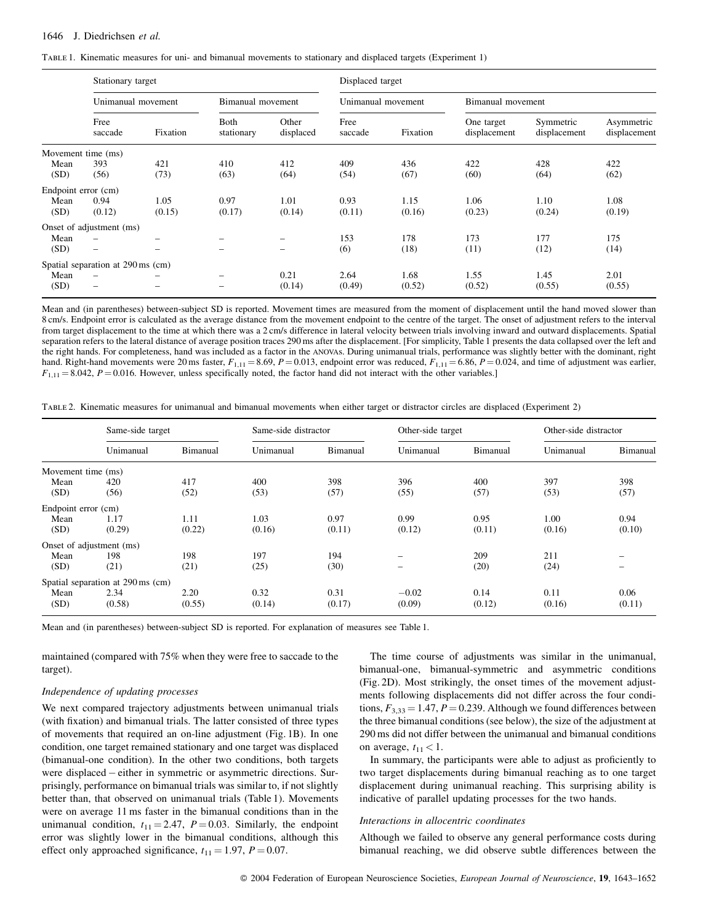TABLE 1. Kinematic measures for uni- and bimanual movements to stationary and displaced targets (Experiment 1)

|                     | Stationary target                 |                 |                    |                    | Displaced target   |          |                            |                           |                            |  |
|---------------------|-----------------------------------|-----------------|--------------------|--------------------|--------------------|----------|----------------------------|---------------------------|----------------------------|--|
|                     | Unimanual movement                |                 | Bimanual movement  |                    | Unimanual movement |          | Bimanual movement          |                           |                            |  |
|                     | Free<br>saccade                   | Fixation        | Both<br>stationary | Other<br>displaced | Free<br>saccade    | Fixation | One target<br>displacement | Symmetric<br>displacement | Asymmetric<br>displacement |  |
|                     | Movement time (ms)                |                 |                    |                    |                    |          |                            |                           |                            |  |
| Mean                | 393                               | 421             | 410                | 412                | 409                | 436      | 422                        | 428                       | 422                        |  |
| (SD)                | (56)                              | (73)            | (63)               | (64)               | (54)               | (67)     | (60)                       | (64)                      | (62)                       |  |
| Endpoint error (cm) |                                   |                 |                    |                    |                    |          |                            |                           |                            |  |
| Mean                | 0.94                              | 1.05            | 0.97               | 1.01               | 0.93               | 1.15     | 1.06                       | 1.10                      | 1.08                       |  |
| (SD)                | (0.12)                            | (0.15)          | (0.17)             | (0.14)             | (0.11)             | (0.16)   | (0.23)                     | (0.24)                    | (0.19)                     |  |
|                     | Onset of adjustment (ms)          |                 |                    |                    |                    |          |                            |                           |                            |  |
| Mean                |                                   | $\qquad \qquad$ |                    | -                  | 153                | 178      | 173                        | 177                       | 175                        |  |
| (SD)                | $\overline{\phantom{m}}$          |                 |                    | -                  | (6)                | (18)     | (11)                       | (12)                      | (14)                       |  |
|                     | Spatial separation at 290 ms (cm) |                 |                    |                    |                    |          |                            |                           |                            |  |
| Mean                |                                   |                 |                    | 0.21               | 2.64               | 1.68     | 1.55                       | 1.45                      | 2.01                       |  |
| (SD)                |                                   |                 |                    | (0.14)             | (0.49)             | (0.52)   | (0.52)                     | (0.55)                    | (0.55)                     |  |

Mean and (in parentheses) between-subject SD is reported. Movement times are measured from the moment of displacement until the hand moved slower than 8 cm/s. Endpoint error is calculated as the average distance from the movement endpoint to the centre of the target. The onset of adjustment refers to the interval from target displacement to the time at which there was a 2 cm/s difference in lateral velocity between trials involving inward and outward displacements. Spatial separation refers to the lateral distance of average position traces 290 ms after the displacement. [For simplicity, Table 1 presents the data collapsed over the left and the right hands. For completeness, hand was included as a factor in the ANOVAs. During unimanual trials, performance was slightly better with the dominant, right hand. Right-hand movements were 20 ms faster,  $F_{1,11} = 8.69$ ,  $P = 0.013$ , endpoint error was reduced,  $F_{1,11} = 6.86$ ,  $P = 0.024$ , and time of adjustment was earlier,  $F_{1,11} = 8.042$ ,  $P = 0.016$ . However, unless specifically noted, the factor hand did not interact with the other variables.]

TABLE 2. Kinematic measures for unimanual and bimanual movements when either target or distractor circles are displaced (Experiment 2)

|                     | Same-side target                  |          | Same-side distractor |          | Other-side target        |          | Other-side distractor |          |
|---------------------|-----------------------------------|----------|----------------------|----------|--------------------------|----------|-----------------------|----------|
|                     | Unimanual                         | Bimanual | Unimanual            | Bimanual | Unimanual                | Bimanual | Unimanual             | Bimanual |
| Movement time (ms)  |                                   |          |                      |          |                          |          |                       |          |
| Mean                | 420                               | 417      | 400                  | 398      | 396                      | 400      | 397                   | 398      |
| (SD)                | (56)                              | (52)     | (53)                 | (57)     | (55)                     | (57)     | (53)                  | (57)     |
| Endpoint error (cm) |                                   |          |                      |          |                          |          |                       |          |
| Mean                | 1.17                              | 1.11     | 1.03                 | 0.97     | 0.99                     | 0.95     | 1.00                  | 0.94     |
| (SD)                | (0.29)                            | (0.22)   | (0.16)               | (0.11)   | (0.12)                   | (0.11)   | (0.16)                | (0.10)   |
|                     | Onset of adjustment (ms)          |          |                      |          |                          |          |                       |          |
| Mean                | 198                               | 198      | 197                  | 194      |                          | 209      | 211                   |          |
| (SD)                | (21)                              | (21)     | (25)                 | (30)     | $\overline{\phantom{0}}$ | (20)     | (24)                  |          |
|                     | Spatial separation at 290 ms (cm) |          |                      |          |                          |          |                       |          |
| Mean                | 2.34                              | 2.20     | 0.32                 | 0.31     | $-0.02$                  | 0.14     | 0.11                  | 0.06     |
| (SD)                | (0.58)                            | (0.55)   | (0.14)               | (0.17)   | (0.09)                   | (0.12)   | (0.16)                | (0.11)   |

Mean and (in parentheses) between-subject SD is reported. For explanation of measures see Table 1.

maintained (compared with 75% when they were free to saccade to the target).

#### Independence of updating processes

We next compared trajectory adjustments between unimanual trials (with fixation) and bimanual trials. The latter consisted of three types of movements that required an on-line adjustment (Fig. 1B). In one condition, one target remained stationary and one target was displaced (bimanual-one condition). In the other two conditions, both targets were displaced – either in symmetric or asymmetric directions. Surprisingly, performance on bimanual trials was similar to, if not slightly better than, that observed on unimanual trials (Table 1). Movements were on average 11 ms faster in the bimanual conditions than in the unimanual condition,  $t_{11} = 2.47$ ,  $P = 0.03$ . Similarly, the endpoint error was slightly lower in the bimanual conditions, although this effect only approached significance,  $t_{11} = 1.97$ ,  $P = 0.07$ .

The time course of adjustments was similar in the unimanual, bimanual-one, bimanual-symmetric and asymmetric conditions (Fig. 2D). Most strikingly, the onset times of the movement adjustments following displacements did not differ across the four conditions,  $F_{3,33} = 1.47$ ,  $P = 0.239$ . Although we found differences between the three bimanual conditions (see below), the size of the adjustment at 290 ms did not differ between the unimanual and bimanual conditions on average,  $t_{11}$  < 1.

In summary, the participants were able to adjust as proficiently to two target displacements during bimanual reaching as to one target displacement during unimanual reaching. This surprising ability is indicative of parallel updating processes for the two hands.

## Interactions in allocentric coordinates

Although we failed to observe any general performance costs during bimanual reaching, we did observe subtle differences between the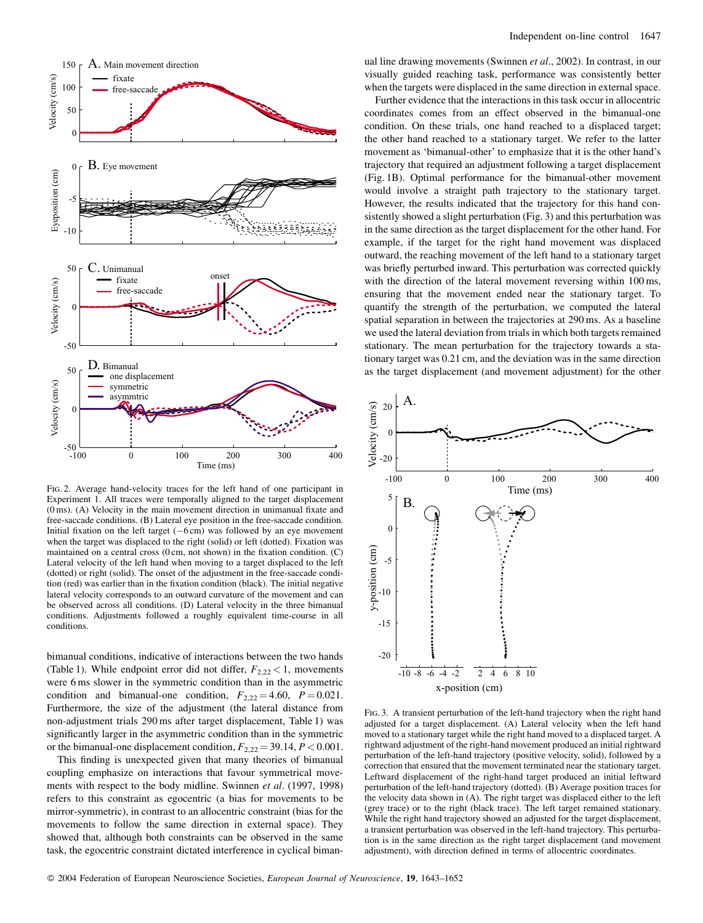

FIG. 2. Average hand-velocity traces for the left hand of one participant in Experiment 1. All traces were temporally aligned to the target displacement (0 ms). (A) Velocity in the main movement direction in unimanual fixate and free-saccade conditions. (B) Lateral eye position in the free-saccade condition. Initial fixation on the left target  $(-6 \text{ cm})$  was followed by an eye movement when the target was displaced to the right (solid) or left (dotted). Fixation was maintained on a central cross  $(0 \text{ cm}, \text{ not shown})$  in the fixation condition.  $(C)$ Lateral velocity of the left hand when moving to a target displaced to the left (dotted) or right (solid). The onset of the adjustment in the free-saccade condition (red) was earlier than in the fixation condition (black). The initial negative lateral velocity corresponds to an outward curvature of the movement and can be observed across all conditions. (D) Lateral velocity in the three bimanual conditions. Adjustments followed a roughly equivalent time-course in all conditions

bimanual conditions, indicative of interactions between the two hands (Table 1). While endpoint error did not differ,  $F_{2,22}$  < 1, movements were 6 ms slower in the symmetric condition than in the asymmetric condition and bimanual-one condition,  $F_{2,22} = 4.60$ ,  $P = 0.021$ . Furthermore, the size of the adjustment (the lateral distance from non-adjustment trials 290 ms after target displacement, Table 1) was significantly larger in the asymmetric condition than in the symmetric or the bimanual-one displacement condition,  $F_{2,22} = 39.14$ ,  $P < 0.001$ .

This finding is unexpected given that many theories of bimanual coupling emphasize on interactions that favour symmetrical movements with respect to the body midline. Swinnen et al. (1997, 1998) refers to this constraint as egocentric (a bias for movements to be mirror-symmetric), in contrast to an allocentric constraint (bias for the movements to follow the same direction in external space). They showed that, although both constraints can be observed in the same task, the egocentric constraint dictated interference in cyclical bimanual line drawing movements (Swinnen et al., 2002). In contrast, in our visually guided reaching task, performance was consistently better when the targets were displaced in the same direction in external space.

Further evidence that the interactions in this task occur in allocentric coordinates comes from an effect observed in the bimanual-one condition. On these trials, one hand reached to a displaced target; the other hand reached to a stationary target. We refer to the latter movement as 'bimanual-other' to emphasize that it is the other hand's trajectory that required an adjustment following a target displacement (Fig. 1B). Optimal performance for the bimanual-other movement would involve a straight path trajectory to the stationary target. However, the results indicated that the trajectory for this hand consistently showed a slight perturbation (Fig. 3) and this perturbation was in the same direction as the target displacement for the other hand. For example, if the target for the right hand movement was displaced outward, the reaching movement of the left hand to a stationary target was briefly perturbed inward. This perturbation was corrected quickly with the direction of the lateral movement reversing within 100 ms, ensuring that the movement ended near the stationary target. To quantify the strength of the perturbation, we computed the lateral spatial separation in between the trajectories at 290 ms. As a baseline we used the lateral deviation from trials in which both targets remained stationary. The mean perturbation for the trajectory towards a stationary target was 0.21 cm, and the deviation was in the same direction as the target displacement (and movement adjustment) for the other



FIG. 3. A transient perturbation of the left-hand trajectory when the right hand adjusted for a target displacement. (A) Lateral velocity when the left hand moved to a stationary target while the right hand moved to a displaced target. A rightward adjustment of the right-hand movement produced an initial rightward perturbation of the left-hand trajectory (positive velocity, solid), followed by a correction that ensured that the movement terminated near the stationary target. Leftward displacement of the right-hand target produced an initial leftward perturbation of the left-hand trajectory (dotted). (B) Average position traces for the velocity data shown in (A). The right target was displaced either to the left (grey trace) or to the right (black trace). The left target remained stationary. While the right hand trajectory showed an adjusted for the target displacement, a transient perturbation was observed in the left-hand trajectory. This perturbation is in the same direction as the right target displacement (and movement adjustment), with direction defined in terms of allocentric coordinates.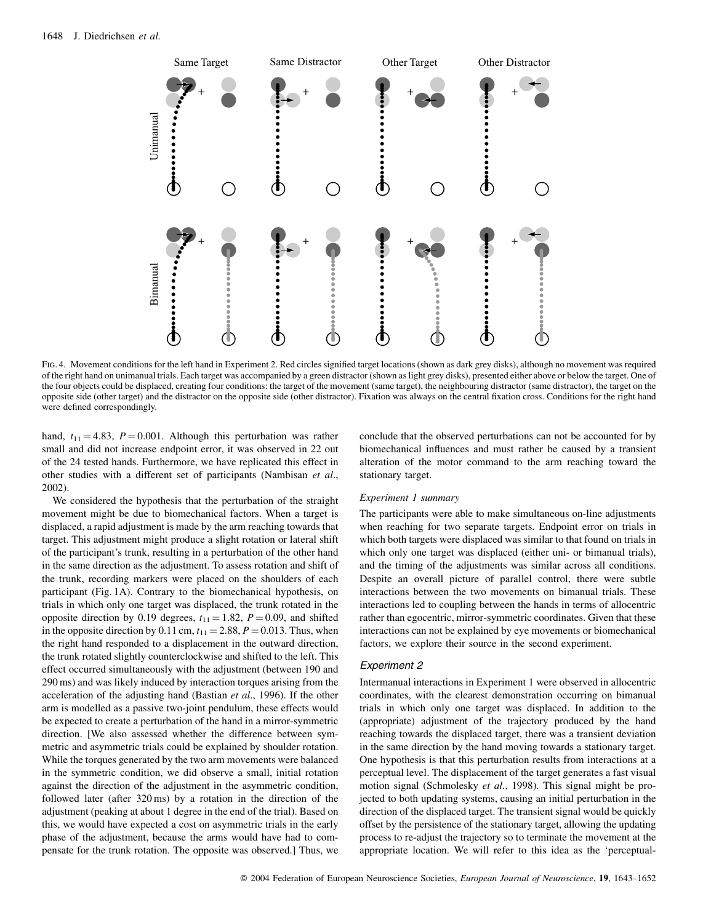

FIG. 4. Movement conditions for the left hand in Experiment 2. Red circles signified target locations (shown as dark grey disks), although no movement was required of the right hand on unimanual trials. Each target was accompanied by a green distractor (shown as light grey disks), presented either above or below the target. One of the four objects could be displaced, creating four conditions: the target of the movement (same target), the neighbouring distractor (same distractor), the target on the opposite side (other target) and the distractor on the opposite side (other distractor). Fixation was always on the central fixation cross. Conditions for the right hand were defined correspondingly.

hand,  $t_{11} = 4.83$ ,  $P = 0.001$ . Although this perturbation was rather small and did not increase endpoint error, it was observed in 22 out of the 24 tested hands. Furthermore, we have replicated this effect in other studies with a different set of participants (Nambisan et al., 2002).

We considered the hypothesis that the perturbation of the straight movement might be due to biomechanical factors. When a target is displaced, a rapid adjustment is made by the arm reaching towards that target. This adjustment might produce a slight rotation or lateral shift of the participant's trunk, resulting in a perturbation of the other hand in the same direction as the adjustment. To assess rotation and shift of the trunk, recording markers were placed on the shoulders of each participant (Fig. 1A). Contrary to the biomechanical hypothesis, on trials in which only one target was displaced, the trunk rotated in the opposite direction by 0.19 degrees,  $t_{11} = 1.82$ ,  $P = 0.09$ , and shifted in the opposite direction by 0.11 cm,  $t_{11} = 2.88$ ,  $P = 0.013$ . Thus, when the right hand responded to a displacement in the outward direction, the trunk rotated slightly counterclockwise and shifted to the left. This effect occurred simultaneously with the adjustment (between 190 and 290 ms) and was likely induced by interaction torques arising from the acceleration of the adjusting hand (Bastian et al., 1996). If the other arm is modelled as a passive two-joint pendulum, these effects would be expected to create a perturbation of the hand in a mirror-symmetric direction. [We also assessed whether the difference between symmetric and asymmetric trials could be explained by shoulder rotation. While the torques generated by the two arm movements were balanced in the symmetric condition, we did observe a small, initial rotation against the direction of the adjustment in the asymmetric condition, followed later (after 320 ms) by a rotation in the direction of the adjustment (peaking at about 1 degree in the end of the trial). Based on this, we would have expected a cost on asymmetric trials in the early phase of the adjustment, because the arms would have had to compensate for the trunk rotation. The opposite was observed.] Thus, we

conclude that the observed perturbations can not be accounted for by biomechanical influences and must rather be caused by a transient alteration of the motor command to the arm reaching toward the stationary target.

#### Experiment 1 summary

The participants were able to make simultaneous on-line adjustments when reaching for two separate targets. Endpoint error on trials in which both targets were displaced was similar to that found on trials in which only one target was displaced (either uni- or bimanual trials), and the timing of the adjustments was similar across all conditions. Despite an overall picture of parallel control, there were subtle interactions between the two movements on bimanual trials. These interactions led to coupling between the hands in terms of allocentric rather than egocentric, mirror-symmetric coordinates. Given that these interactions can not be explained by eye movements or biomechanical factors, we explore their source in the second experiment.

# **Experiment 2**

Intermanual interactions in Experiment 1 were observed in allocentric coordinates, with the clearest demonstration occurring on bimanual trials in which only one target was displaced. In addition to the (appropriate) adjustment of the trajectory produced by the hand reaching towards the displaced target, there was a transient deviation in the same direction by the hand moving towards a stationary target. One hypothesis is that this perturbation results from interactions at a perceptual level. The displacement of the target generates a fast visual motion signal (Schmolesky et al., 1998). This signal might be projected to both updating systems, causing an initial perturbation in the direction of the displaced target. The transient signal would be quickly offset by the persistence of the stationary target, allowing the updating process to re-adjust the trajectory so to terminate the movement at the appropriate location. We will refer to this idea as the 'perceptual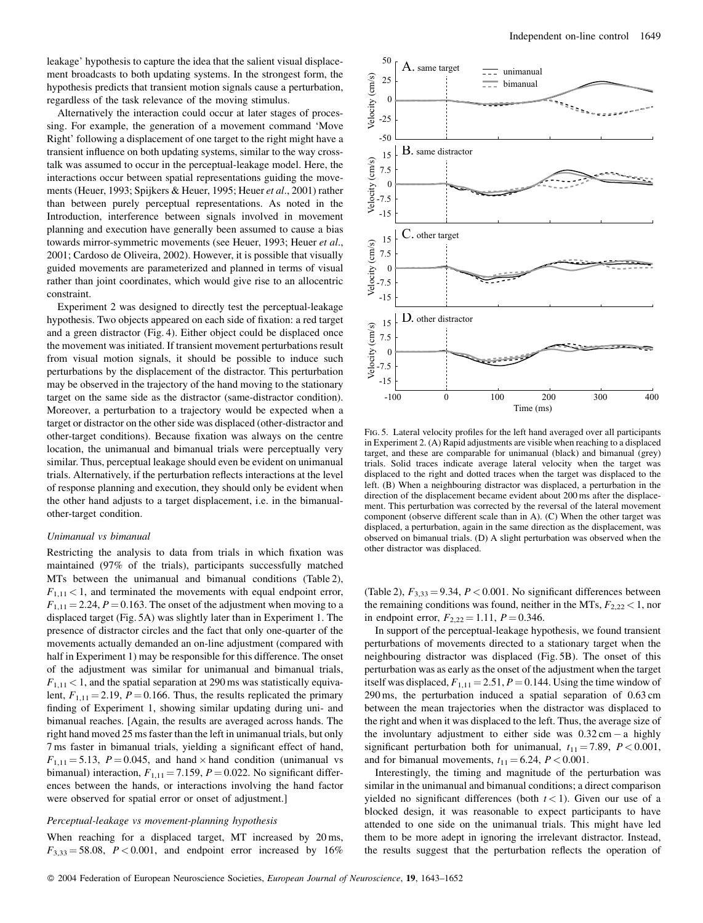leakage' hypothesis to capture the idea that the salient visual displacement broadcasts to both updating systems. In the strongest form, the hypothesis predicts that transient motion signals cause a perturbation, regardless of the task relevance of the moving stimulus.

Alternatively the interaction could occur at later stages of processing. For example, the generation of a movement command 'Move Right' following a displacement of one target to the right might have a transient influence on both updating systems, similar to the way crosstalk was assumed to occur in the perceptual-leakage model. Here, the interactions occur between spatial representations guiding the movements (Heuer, 1993; Spijkers & Heuer, 1995; Heuer et al., 2001) rather than between purely perceptual representations. As noted in the Introduction, interference between signals involved in movement planning and execution have generally been assumed to cause a bias towards mirror-symmetric movements (see Heuer, 1993; Heuer et al., 2001: Cardoso de Oliveira, 2002). However, it is possible that visually guided movements are parameterized and planned in terms of visual rather than joint coordinates, which would give rise to an allocentric constraint.

Experiment 2 was designed to directly test the perceptual-leakage hypothesis. Two objects appeared on each side of fixation: a red target and a green distractor (Fig. 4). Either object could be displaced once the movement was initiated. If transient movement perturbations result from visual motion signals, it should be possible to induce such perturbations by the displacement of the distractor. This perturbation may be observed in the trajectory of the hand moving to the stationary target on the same side as the distractor (same-distractor condition). Moreover, a perturbation to a trajectory would be expected when a target or distractor on the other side was displaced (other-distractor and other-target conditions). Because fixation was always on the centre location, the unimanual and bimanual trials were perceptually very similar. Thus, perceptual leakage should even be evident on unimanual trials. Alternatively, if the perturbation reflects interactions at the level of response planning and execution, they should only be evident when the other hand adjusts to a target displacement, i.e. in the bimanualother-target condition.

## Unimanual vs bimanual

Restricting the analysis to data from trials in which fixation was maintained (97% of the trials), participants successfully matched MTs between the unimanual and bimanual conditions (Table 2),  $F_{1,11}$  < 1, and terminated the movements with equal endpoint error,  $F_{1,11} = 2.24$ ,  $P = 0.163$ . The onset of the adjustment when moving to a displaced target (Fig. 5A) was slightly later than in Experiment 1. The presence of distractor circles and the fact that only one-quarter of the movements actually demanded an on-line adjustment (compared with half in Experiment 1) may be responsible for this difference. The onset of the adjustment was similar for unimanual and bimanual trials,  $F_{1,11}$  < 1, and the spatial separation at 290 ms was statistically equivalent,  $F_{1,11} = 2.19$ ,  $P = 0.166$ . Thus, the results replicated the primary finding of Experiment 1, showing similar updating during uni- and bimanual reaches. [Again, the results are averaged across hands. The right hand moved 25 ms faster than the left in unimanual trials, but only 7 ms faster in bimanual trials, yielding a significant effect of hand,  $F_{1,11} = 5.13$ ,  $P = 0.045$ , and hand  $\times$  hand condition (unimanual vs bimanual) interaction,  $F_{1,11} = 7.159$ ,  $P = 0.022$ . No significant differences between the hands, or interactions involving the hand factor were observed for spatial error or onset of adjustment.]

## Perceptual-leakage vs movement-planning hypothesis

When reaching for a displaced target, MT increased by 20 ms,  $F_{3,33} = 58.08$ ,  $P < 0.001$ , and endpoint error increased by 16%



FIG. 5. Lateral velocity profiles for the left hand averaged over all participants in Experiment 2. (A) Rapid adjustments are visible when reaching to a displaced target, and these are comparable for unimanual (black) and bimanual (grey) trials. Solid traces indicate average lateral velocity when the target was displaced to the right and dotted traces when the target was displaced to the left. (B) When a neighbouring distractor was displaced, a perturbation in the direction of the displacement became evident about 200 ms after the displacement. This perturbation was corrected by the reversal of the lateral movement component (observe different scale than in A). (C) When the other target was displaced, a perturbation, again in the same direction as the displacement, was observed on bimanual trials. (D) A slight perturbation was observed when the other distractor was displaced.

(Table 2),  $F_{3,33} = 9.34$ ,  $P < 0.001$ . No significant differences between the remaining conditions was found, neither in the MTs,  $F_{2,22}$  < 1, nor in endpoint error,  $F_{2,22} = 1.11$ ,  $P = 0.346$ .

In support of the perceptual-leakage hypothesis, we found transient perturbations of movements directed to a stationary target when the neighbouring distractor was displaced (Fig. 5B). The onset of this perturbation was as early as the onset of the adjustment when the target itself was displaced,  $F_{1,11} = 2.51$ ,  $P = 0.144$ . Using the time window of  $290 \text{ ms}$ , the perturbation induced a spatial separation of  $0.63 \text{ cm}$ between the mean trajectories when the distractor was displaced to the right and when it was displaced to the left. Thus, the average size of the involuntary adjustment to either side was  $0.32 \text{ cm} - \text{a}$  highly significant perturbation both for unimanual,  $t_{11} = 7.89$ ,  $P < 0.001$ , and for bimanual movements,  $t_{11} = 6.24$ ,  $P < 0.001$ .

Interestingly, the timing and magnitude of the perturbation was similar in the unimanual and bimanual conditions; a direct comparison yielded no significant differences (both  $t < 1$ ). Given our use of a blocked design, it was reasonable to expect participants to have attended to one side on the unimanual trials. This might have led them to be more adept in ignoring the irrelevant distractor. Instead, the results suggest that the perturbation reflects the operation of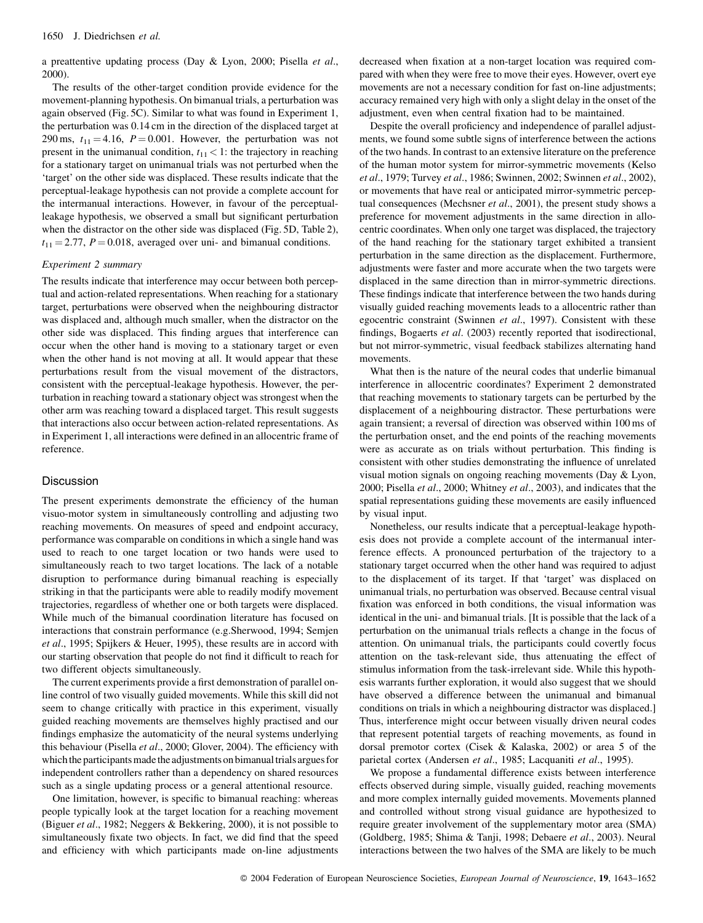a preattentive updating process (Day & Lyon, 2000; Pisella et al., 2000).

The results of the other-target condition provide evidence for the movement-planning hypothesis. On bimanual trials, a perturbation was again observed (Fig. 5C). Similar to what was found in Experiment 1, the perturbation was 0.14 cm in the direction of the displaced target at 290 ms,  $t_{11} = 4.16$ ,  $P = 0.001$ . However, the perturbation was not present in the unimanual condition,  $t_{11}$  < 1: the trajectory in reaching for a stationary target on unimanual trials was not perturbed when the 'target' on the other side was displaced. These results indicate that the perceptual-leakage hypothesis can not provide a complete account for the intermanual interactions. However, in favour of the perceptualleakage hypothesis, we observed a small but significant perturbation when the distractor on the other side was displaced (Fig. 5D, Table 2),  $t_{11} = 2.77$ ,  $P = 0.018$ , averaged over uni- and bimanual conditions.

# Experiment 2 summary

The results indicate that interference may occur between both perceptual and action-related representations. When reaching for a stationary target, perturbations were observed when the neighbouring distractor was displaced and, although much smaller, when the distractor on the other side was displaced. This finding argues that interference can occur when the other hand is moving to a stationary target or even when the other hand is not moving at all. It would appear that these perturbations result from the visual movement of the distractors, consistent with the perceptual-leakage hypothesis. However, the perturbation in reaching toward a stationary object was strongest when the other arm was reaching toward a displaced target. This result suggests that interactions also occur between action-related representations. As in Experiment 1, all interactions were defined in an allocentric frame of reference.

# Discussion

The present experiments demonstrate the efficiency of the human visuo-motor system in simultaneously controlling and adjusting two reaching movements. On measures of speed and endpoint accuracy, performance was comparable on conditions in which a single hand was used to reach to one target location or two hands were used to simultaneously reach to two target locations. The lack of a notable disruption to performance during bimanual reaching is especially striking in that the participants were able to readily modify movement trajectories, regardless of whether one or both targets were displaced. While much of the bimanual coordination literature has focused on interactions that constrain performance (e.g.Sherwood, 1994; Semien et al., 1995; Spijkers & Heuer, 1995), these results are in accord with our starting observation that people do not find it difficult to reach for two different objects simultaneously.

The current experiments provide a first demonstration of parallel online control of two visually guided movements. While this skill did not seem to change critically with practice in this experiment, visually guided reaching movements are themselves highly practised and our findings emphasize the automaticity of the neural systems underlying this behaviour (Pisella et al., 2000; Glover, 2004). The efficiency with which the participants made the adjustments on bimanual trials argues for independent controllers rather than a dependency on shared resources such as a single updating process or a general attentional resource.

One limitation, however, is specific to bimanual reaching: whereas people typically look at the target location for a reaching movement (Biguer et al., 1982; Neggers & Bekkering, 2000), it is not possible to simultaneously fixate two objects. In fact, we did find that the speed and efficiency with which participants made on-line adjustments decreased when fixation at a non-target location was required compared with when they were free to move their eyes. However, overt eye movements are not a necessary condition for fast on-line adjustments; accuracy remained very high with only a slight delay in the onset of the adjustment, even when central fixation had to be maintained.

Despite the overall proficiency and independence of parallel adjustments, we found some subtle signs of interference between the actions of the two hands. In contrast to an extensive literature on the preference of the human motor system for mirror-symmetric movements (Kelso et al., 1979; Turvey et al., 1986; Swinnen, 2002; Swinnen et al., 2002), or movements that have real or anticipated mirror-symmetric perceptual consequences (Mechsner et al., 2001), the present study shows a preference for movement adjustments in the same direction in allocentric coordinates. When only one target was displaced, the trajectory of the hand reaching for the stationary target exhibited a transient perturbation in the same direction as the displacement. Furthermore, adjustments were faster and more accurate when the two targets were displaced in the same direction than in mirror-symmetric directions. These findings indicate that interference between the two hands during visually guided reaching movements leads to a allocentric rather than egocentric constraint (Swinnen et al., 1997). Consistent with these findings, Bogaerts et al. (2003) recently reported that isodirectional, but not mirror-symmetric, visual feedback stabilizes alternating hand movements

What then is the nature of the neural codes that underlie bimanual interference in allocentric coordinates? Experiment 2 demonstrated that reaching movements to stationary targets can be perturbed by the displacement of a neighbouring distractor. These perturbations were again transient; a reversal of direction was observed within 100 ms of the perturbation onset, and the end points of the reaching movements were as accurate as on trials without perturbation. This finding is consistent with other studies demonstrating the influence of unrelated visual motion signals on ongoing reaching movements (Day & Lyon, 2000; Pisella et al., 2000; Whitney et al., 2003), and indicates that the spatial representations guiding these movements are easily influenced by visual input.

Nonetheless, our results indicate that a perceptual-leakage hypothesis does not provide a complete account of the intermanual interference effects. A pronounced perturbation of the trajectory to a stationary target occurred when the other hand was required to adjust to the displacement of its target. If that 'target' was displaced on unimanual trials, no perturbation was observed. Because central visual fixation was enforced in both conditions, the visual information was identical in the uni- and bimanual trials. [It is possible that the lack of a perturbation on the unimanual trials reflects a change in the focus of attention. On unimanual trials, the participants could covertly focus attention on the task-relevant side, thus attenuating the effect of stimulus information from the task-irrelevant side. While this hypothesis warrants further exploration, it would also suggest that we should have observed a difference between the unimanual and bimanual conditions on trials in which a neighbouring distractor was displaced.] Thus, interference might occur between visually driven neural codes that represent potential targets of reaching movements, as found in dorsal premotor cortex (Cisek & Kalaska, 2002) or area 5 of the parietal cortex (Andersen et al., 1985; Lacquaniti et al., 1995).

We propose a fundamental difference exists between interference effects observed during simple, visually guided, reaching movements and more complex internally guided movements. Movements planned and controlled without strong visual guidance are hypothesized to require greater involvement of the supplementary motor area (SMA) (Goldberg, 1985; Shima & Tanji, 1998; Debaere et al., 2003). Neural interactions between the two halves of the SMA are likely to be much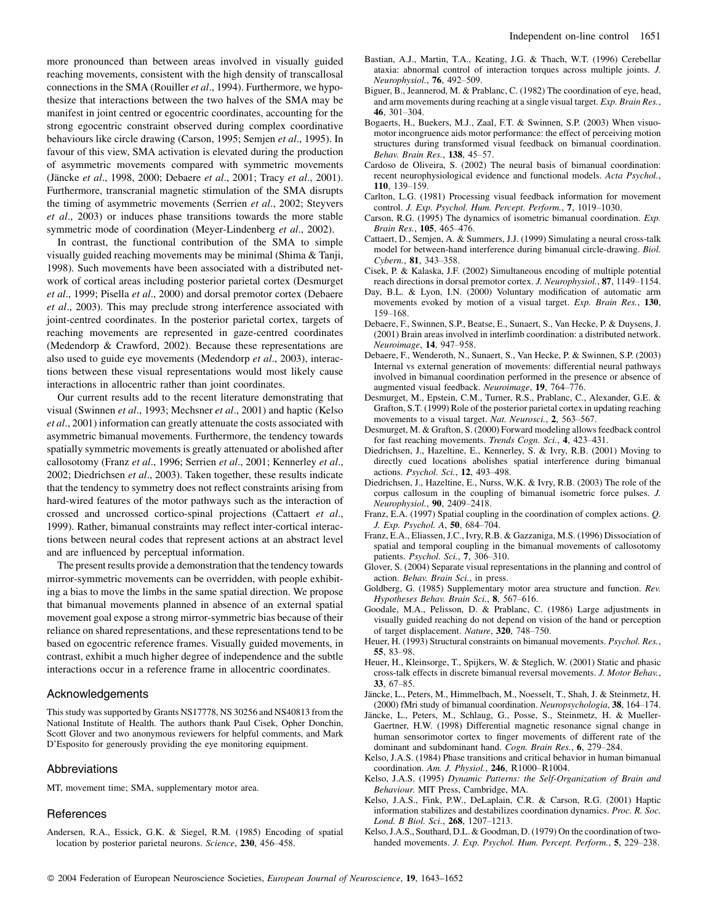more pronounced than between areas involved in visually guided reaching movements, consistent with the high density of transcallosal connections in the SMA (Rouiller et al., 1994). Furthermore, we hypothesize that interactions between the two halves of the SMA may be manifest in joint centred or egocentric coordinates, accounting for the strong egocentric constraint observed during complex coordinative behaviours like circle drawing (Carson, 1995; Semjen et al., 1995). In favour of this view, SMA activation is elevated during the production of asymmetric movements compared with symmetric movements (Jäncke et al., 1998, 2000; Debaere et al., 2001; Tracy et al., 2001). Furthermore, transcranial magnetic stimulation of the SMA disrupts the timing of asymmetric movements (Serrien et al., 2002; Steyvers et al., 2003) or induces phase transitions towards the more stable symmetric mode of coordination (Meyer-Lindenberg et al., 2002).

In contrast, the functional contribution of the SMA to simple visually guided reaching movements may be minimal (Shima & Tanii, 1998). Such movements have been associated with a distributed network of cortical areas including posterior parietal cortex (Desmurget et al., 1999; Pisella et al., 2000) and dorsal premotor cortex (Debaere et al., 2003). This may preclude strong interference associated with joint-centred coordinates. In the posterior parietal cortex, targets of reaching movements are represented in gaze-centred coordinates (Medendorp  $\&$  Crawford, 2002). Because these representations are also used to guide eye movements (Medendorp et al., 2003), interactions between these visual representations would most likely cause interactions in allocentric rather than joint coordinates.

Our current results add to the recent literature demonstrating that visual (Swinnen et al., 1993; Mechsner et al., 2001) and haptic (Kelso et al., 2001) information can greatly attenuate the costs associated with asymmetric bimanual movements. Furthermore, the tendency towards spatially symmetric movements is greatly attenuated or abolished after callosotomy (Franz et al., 1996; Serrien et al., 2001; Kennerley et al., 2002; Diedrichsen et al., 2003). Taken together, these results indicate that the tendency to symmetry does not reflect constraints arising from hard-wired features of the motor pathways such as the interaction of crossed and uncrossed cortico-spinal projections (Cattaert et al., 1999). Rather, bimanual constraints may reflect inter-cortical interactions between neural codes that represent actions at an abstract level and are influenced by perceptual information.

The present results provide a demonstration that the tendency towards mirror-symmetric movements can be overridden, with people exhibiting a bias to move the limbs in the same spatial direction. We propose that bimanual movements planned in absence of an external spatial movement goal expose a strong mirror-symmetric bias because of their reliance on shared representations, and these representations tend to be based on egocentric reference frames. Visually guided movements, in contrast, exhibit a much higher degree of independence and the subtle interactions occur in a reference frame in allocentric coordinates.

## Acknowledgements

This study was supported by Grants NS17778, NS 30256 and NS40813 from the National Institute of Health. The authors thank Paul Cisek, Opher Donchin, Scott Glover and two anonymous reviewers for helpful comments, and Mark D'Esposito for generously providing the eye monitoring equipment.

# Abbreviations

MT, movement time; SMA, supplementary motor area.

# References

Andersen, R.A., Essick, G.K. & Siegel, R.M. (1985) Encoding of spatial location by posterior parietal neurons. Science, 230, 456–458.

- Bastian, A.J., Martin, T.A., Keating, J.G. & Thach, W.T. (1996) Cerebellar ataxia: abnormal control of interaction torques across multiple joints. J. Neurophysiol., 76, 492-509.
- Biguer, B., Jeannerod, M. & Prablanc, C. (1982) The coordination of eye, head, and arm movements during reaching at a single visual target. Exp. Brain Res., 46.  $301 - 304$ .
- Bogaerts, H., Buekers, M.J., Zaal, F.T. & Swinnen, S.P. (2003) When visuomotor incongruence aids motor performance: the effect of perceiving motion structures during transformed visual feedback on bimanual coordination. Behav. Brain Res., 138, 45-57.
- Cardoso de Oliveira, S. (2002) The neural basis of bimanual coordination: recent neurophysiological evidence and functional models. Acta Psychol., 110. 139-159.
- Carlton, L.G. (1981) Processing visual feedback information for movement control. J. Exp. Psychol. Hum. Percept. Perform., 7, 1019-1030.
- Carson, R.G. (1995) The dynamics of isometric bimanual coordination. Exp. Brain Res., 105, 465-476.
- Cattaert, D., Semjen, A. & Summers, J.J. (1999) Simulating a neural cross-talk model for between-hand interference during bimanual circle-drawing. Biol. Cybern., 81, 343-358.
- Cisek, P. & Kalaska, J.F. (2002) Simultaneous encoding of multiple potential reach directions in dorsal premotor cortex. J. Neurophysiol., 87, 1149-1154.
- Day, B.L. & Lyon, I.N. (2000) Voluntary modification of automatic arm movements evoked by motion of a visual target. Exp. Brain Res., 130,  $159 - 168$
- Debaere, F., Swinnen, S.P., Beatse, E., Sunaert, S., Van Hecke, P. & Duysens, J. (2001) Brain areas involved in interlimb coordination: a distributed network. Neuroimage, 14, 947-958.
- Debaere, F., Wenderoth, N., Sunaert, S., Van Hecke, P. & Swinnen, S.P. (2003) Internal vs external generation of movements: differential neural pathways involved in bimanual coordination performed in the presence or absence of augmented visual feedback. Neuroimage, 19, 764-776.
- Desmurget, M., Epstein, C.M., Turner, R.S., Prablanc, C., Alexander, G.E. & Grafton, S.T. (1999) Role of the posterior parietal cortex in updating reaching movements to a visual target. Nat. Neurosci., 2, 563–567.
- Desmurget, M. & Grafton, S. (2000) Forward modeling allows feedback control for fast reaching movements. Trends Cogn. Sci., 4, 423-431.
- Diedrichsen, J., Hazeltine, E., Kennerley, S. & Ivry, R.B. (2001) Moving to directly cued locations abolishes spatial interference during bimanual actions. *Psychol. Sci.*, 12, 493-498.
- Diedrichsen, J., Hazeltine, E., Nurss, W.K. & Ivry, R.B. (2003) The role of the corpus callosum in the coupling of bimanual isometric force pulses. J. Neurophysiol., 90, 2409-2418.
- Franz, E.A. (1997) Spatial coupling in the coordination of complex actions. Q. J. Exp. Psychol. A, 50, 684-704.
- Franz, E.A., Eliassen, J.C., Ivry, R.B. & Gazzaniga, M.S. (1996) Dissociation of spatial and temporal coupling in the bimanual movements of callosotomy patients. Psychol. Sci., 7, 306-310.
- Glover, S. (2004) Separate visual representations in the planning and control of action. Behav. Brain Sci., in press.
- Goldberg, G. (1985) Supplementary motor area structure and function. Rev. Hypotheses Behav. Brain Sci., 8, 567-616.
- Goodale, M.A., Pelisson, D. & Prablanc, C. (1986) Large adjustments in visually guided reaching do not depend on vision of the hand or perception of target displacement. Nature, 320, 748-750.
- Heuer, H. (1993) Structural constraints on bimanual movements. *Psychol. Res.*, 55, 83-98.
- Heuer, H., Kleinsorge, T., Spijkers, W. & Steglich, W. (2001) Static and phasic cross-talk effects in discrete bimanual reversal movements. J. Motor Behav.,  $33.67 - 85.$
- Jäncke, L., Peters, M., Himmelbach, M., Noesselt, T., Shah, J. & Steinmetz, H. (2000) fMri study of bimanual coordination. Neuropsychologia, 38, 164-174.
- Jäncke, L., Peters, M., Schlaug, G., Posse, S., Steinmetz, H. & Mueller-Gaertner, H.W. (1998) Differential magnetic resonance signal change in human sensorimotor cortex to finger movements of different rate of the dominant and subdominant hand. Cogn. Brain Res., 6, 279-284.
- Kelso, J.A.S. (1984) Phase transitions and critical behavior in human bimanual coordination. Am. J. Physiol., 246, R1000-R1004.
- Kelso, J.A.S. (1995) Dynamic Patterns: the Self-Organization of Brain and Behaviour. MIT Press, Cambridge, MA.
- Kelso, J.A.S., Fink, P.W., DeLaplain, C.R. & Carson, R.G. (2001) Haptic information stabilizes and destabilizes coordination dynamics. Proc. R. Soc. Lond. B Biol. Sci., 268, 1207-1213.
- Kelso, J.A.S., Southard, D.L. & Goodman, D. (1979) On the coordination of twohanded movements. J. Exp. Psychol. Hum. Percept. Perform., 5, 229-238.